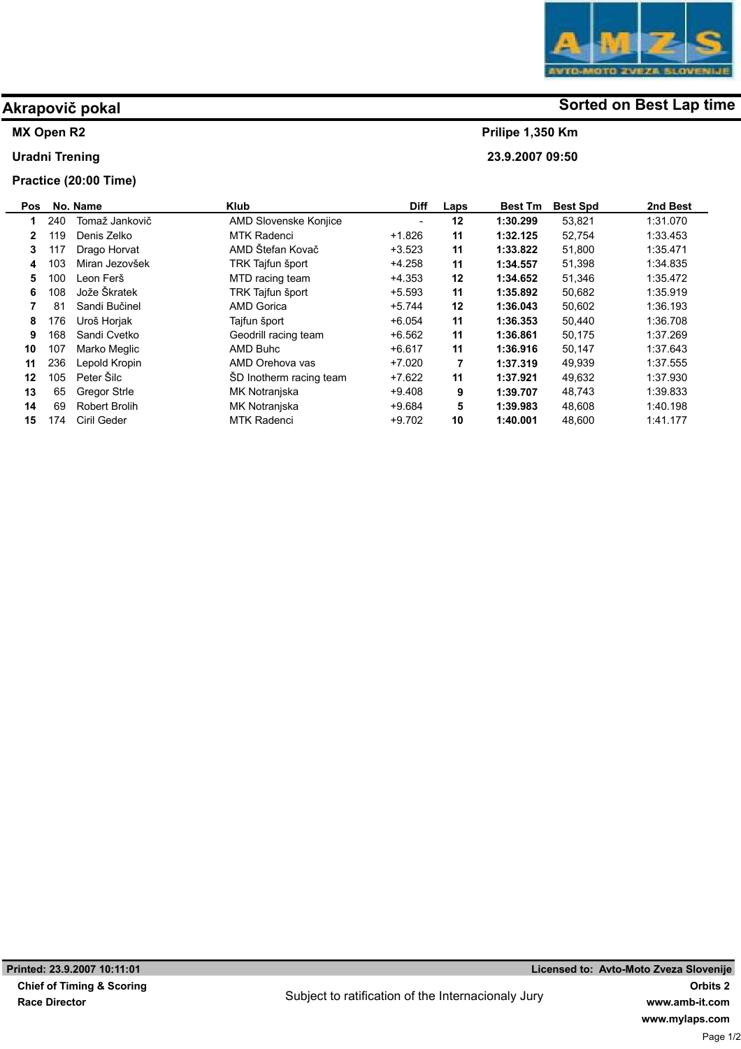

## Akrapovič pokal Sorted on Best Lap time

Prilipe 1,350 Km 23.9.2007 09:50

### MX Open R2

Uradni Trening

### Practice (20:00 Time)

| <b>Pos</b> |     | No. Name             | <b>Klub</b>             | <b>Diff</b> | Laps | <b>Best Tm</b> | <b>Best Spd</b> | 2nd Best |
|------------|-----|----------------------|-------------------------|-------------|------|----------------|-----------------|----------|
| 1          | 240 | Tomaž Jankovič       | AMD Slovenske Konjice   |             | 12   | 1:30.299       | 53,821          | 1.31.070 |
| 2          | 119 | Denis Zelko          | <b>MTK Radenci</b>      | $+1.826$    | 11   | 1:32.125       | 52,754          | 1:33.453 |
| 3          | 117 | Drago Horvat         | AMD Štefan Kovač        | $+3.523$    | 11   | 1:33.822       | 51,800          | 1:35.471 |
| 4          | 103 | Miran Jezovšek       | TRK Tajfun šport        | $+4.258$    | 11   | 1:34.557       | 51,398          | 1:34.835 |
| 5          | 100 | Leon Ferš            | MTD racing team         | $+4.353$    | 12   | 1:34.652       | 51,346          | 1:35.472 |
| 6          | 108 | Jože Škratek         | TRK Tajfun šport        | $+5.593$    | 11   | 1:35.892       | 50,682          | 1:35.919 |
|            | 81  | Sandi Bučinel        | <b>AMD Gorica</b>       | $+5.744$    | 12   | 1:36.043       | 50,602          | 1:36.193 |
| 8          | 176 | Uroš Horjak          | Tajfun šport            | $+6.054$    | 11   | 1:36.353       | 50,440          | 1:36.708 |
| 9          | 168 | Sandi Cvetko         | Geodrill racing team    | $+6.562$    | 11   | 1:36.861       | 50,175          | 1:37.269 |
| 10         | 107 | Marko Meglic         | AMD Buhc                | $+6.617$    | 11   | 1:36.916       | 50.147          | 1:37.643 |
| 11         | 236 | Lepold Kropin        | AMD Orehova vas         | $+7.020$    | 7    | 1:37.319       | 49,939          | 1:37.555 |
| 12         | 105 | Peter Šilc           | SD Inotherm racing team | $+7.622$    | 11   | 1:37.921       | 49.632          | 1:37.930 |
| 13         | 65  | <b>Gregor Strle</b>  | MK Notranjska           | $+9.408$    | 9    | 1:39.707       | 48,743          | 1.39.833 |
| 14         | 69  | <b>Robert Brolih</b> | MK Notranjska           | $+9.684$    | 5    | 1:39.983       | 48.608          | 1.40.198 |
| 15         | 174 | Ciril Geder          | <b>MTK Radenci</b>      | $+9.702$    | 10   | 1:40.001       | 48,600          | 1:41.177 |